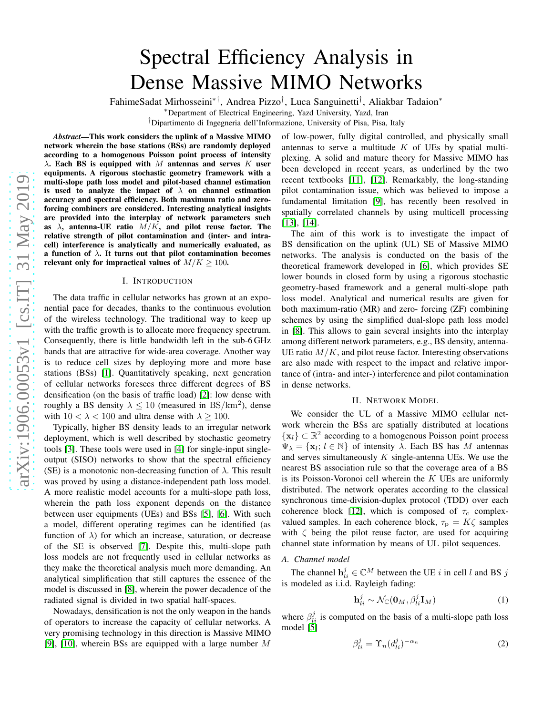# Spectral Efficiency Analysis in Dense Massive MIMO Networks

FahimeSadat Mirhosseini∗†, Andrea Pizzo† , Luca Sanguinetti† , Aliakbar Tadaion<sup>∗</sup>

<sup>∗</sup>Department of Electrical Engineering, Yazd University, Yazd, Iran

†Dipartimento di Ingegneria dell'Informazione, University of Pisa, Pisa, Italy

*Abstract*—This work considers the uplink of a Massive MIMO network wherein the base stations (BSs) are randomly deployed according to a homogenous Poisson point process of intensity  $\lambda$ . Each BS is equipped with M antennas and serves K user equipments. A rigorous stochastic geometry framework with a multi-slope path loss model and pilot-based channel estimation is used to analyze the impact of  $\lambda$  on channel estimation accuracy and spectral efficiency. Both maximum ratio and zeroforcing combiners are considered. Interesting analytical insights are provided into the interplay of network parameters such as  $\lambda$ , antenna-UE ratio  $M/K$ , and pilot reuse factor. The relative strength of pilot contamination and (inter- and intracell) interference is analytically and numerically evaluated, as a function of  $\lambda$ . It turns out that pilot contamination becomes relevant only for impractical values of  $M/K \ge 100$ .

#### I. INTRODUCTION

The data traffic in cellular networks has grown at an exponential pace for decades, thanks to the continuous evolution of the wireless technology. The traditional way to keep up with the traffic growth is to allocate more frequency spectrum. Consequently, there is little bandwidth left in the sub-6 GHz bands that are attractive for wide-area coverage. Another way is to reduce cell sizes by deploying more and more base stations (BSs) [\[1\]](#page-4-0). Quantitatively speaking, next generation of cellular networks foresees three different degrees of BS densification (on the basis of traffic load) [\[2\]](#page-4-1): low dense with roughly a BS density  $\lambda \leq 10$  (measured in BS/km<sup>2</sup>), dense with  $10 < \lambda < 100$  and ultra dense with  $\lambda \ge 100$ .

Typically, higher BS density leads to an irregular network deployment, which is well described by stochastic geometry tools [\[3\]](#page-4-2). These tools were used in [\[4\]](#page-4-3) for single-input singleoutput (SISO) networks to show that the spectral efficiency (SE) is a monotonic non-decreasing function of  $\lambda$ . This result was proved by using a distance-independent path loss model. A more realistic model accounts for a multi-slope path loss, wherein the path loss exponent depends on the distance between user equipments (UEs) and BSs [\[5\]](#page-4-4), [\[6\]](#page-4-5). With such a model, different operating regimes can be identified (as function of  $\lambda$ ) for which an increase, saturation, or decrease of the SE is observed [\[7\]](#page-4-6). Despite this, multi-slope path loss models are not frequently used in cellular networks as they make the theoretical analysis much more demanding. An analytical simplification that still captures the essence of the model is discussed in [\[8\]](#page-4-7), wherein the power decadence of the radiated signal is divided in two spatial half-spaces.

Nowadays, densification is not the only weapon in the hands of operators to increase the capacity of cellular networks. A very promising technology in this direction is Massive MIMO [\[9\]](#page-4-8), [\[10\]](#page-4-9), wherein BSs are equipped with a large number M

of low-power, fully digital controlled, and physically small antennas to serve a multitude  $K$  of UEs by spatial multiplexing. A solid and mature theory for Massive MIMO has been developed in recent years, as underlined by the two recent textbooks [\[11\]](#page-4-10), [\[12\]](#page-4-11). Remarkably, the long-standing pilot contamination issue, which was believed to impose a fundamental limitation [\[9\]](#page-4-8), has recently been resolved in spatially correlated channels by using multicell processing [\[13\]](#page-4-12), [\[14\]](#page-4-13).

The aim of this work is to investigate the impact of BS densification on the uplink (UL) SE of Massive MIMO networks. The analysis is conducted on the basis of the theoretical framework developed in [\[6\]](#page-4-5), which provides SE lower bounds in closed form by using a rigorous stochastic geometry-based framework and a general multi-slope path loss model. Analytical and numerical results are given for both maximum-ratio (MR) and zero- forcing (ZF) combining schemes by using the simplified dual-slope path loss model in [\[8\]](#page-4-7). This allows to gain several insights into the interplay among different network parameters, e.g., BS density, antenna-UE ratio  $M/K$ , and pilot reuse factor. Interesting observations are also made with respect to the impact and relative importance of (intra- and inter-) interference and pilot contamination in dense networks.

### II. NETWORK MODEL

We consider the UL of a Massive MIMO cellular network wherein the BSs are spatially distributed at locations  $\{x_l\} \subset \mathbb{R}^2$  according to a homogenous Poisson point process  $\Psi_{\lambda} = {\mathbf{x}_l; l \in \mathbb{N}}$  of intensity  $\lambda$ . Each BS has M antennas and serves simultaneously  $K$  single-antenna UEs. We use the nearest BS association rule so that the coverage area of a BS is its Poisson-Voronoi cell wherein the  $K$  UEs are uniformly distributed. The network operates according to the classical synchronous time-division-duplex protocol (TDD) over each coherence block [\[12\]](#page-4-11), which is composed of  $\tau_c$  complexvalued samples. In each coherence block,  $\tau_{\rm p} = K\zeta$  samples with  $\zeta$  being the pilot reuse factor, are used for acquiring channel state information by means of UL pilot sequences.

#### *A. Channel model*

The channel  $\mathbf{h}_{li}^j \in \mathbb{C}^M$  between the UE i in cell l and BS j is modeled as i.i.d. Rayleigh fading:

$$
\mathbf{h}_{li}^{j} \sim \mathcal{N}_{\mathbb{C}}(\mathbf{0}_{M}, \beta_{li}^{j} \mathbf{I}_{M})
$$
 (1)

where  $\beta_{li}^j$  is computed on the basis of a multi-slope path loss model [\[5\]](#page-4-4)

$$
\beta_{li}^j = \Upsilon_n (d_{li}^j)^{-\alpha_n} \tag{2}
$$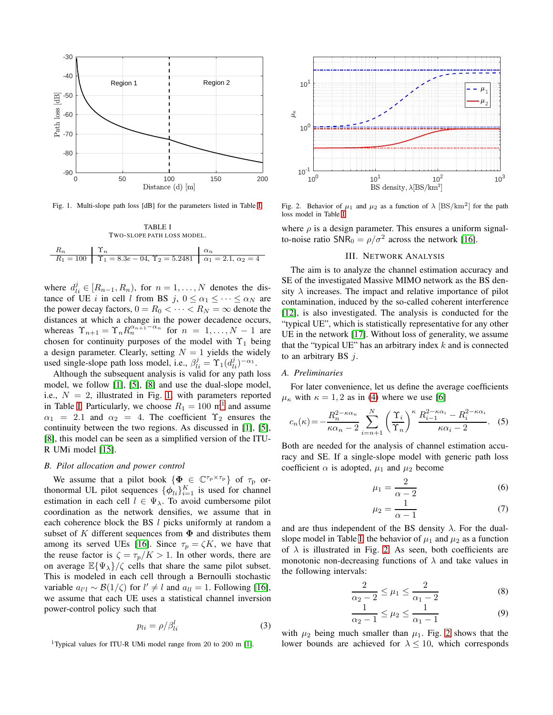

<span id="page-1-1"></span>Fig. 1. Multi-slope path loss [dB] for the parameters listed in Table [I.](#page-1-0)

<span id="page-1-0"></span>TABLE I TWO-SLOPE PATH LOSS MODEL.  $R_n$   $\qquad \qquad$   $\Upsilon_n$   $\qquad \qquad$   $\alpha_n$  $R_1 = 100$  |  $\Upsilon_1 = 8.3e - 04, \Upsilon_2 = 5.2481$  |  $\alpha_1 = 2.1, \alpha_2 = 4$ 

where  $d_{li}^j \in [R_{n-1}, R_n)$ , for  $n = 1, ..., N$  denotes the distance of UE i in cell l from BS j,  $0 \le \alpha_1 \le \cdots \le \alpha_N$  are the power decay factors,  $0 = R_0 < \cdots < R_N = \infty$  denote the distances at which a change in the power decadence occurs, whereas  $\Upsilon_{n+1} = \Upsilon_n R_n^{\alpha_{n+1}-\alpha_n}$  for  $n = 1, ..., N-1$  are chosen for continuity purposes of the model with  $\Upsilon_1$  being a design parameter. Clearly, setting  $N = 1$  yields the widely used single-slope path loss model, i.e.,  $\beta_{li}^j = \Upsilon_1(d_{li}^j)^{-\alpha_1}$ .

Although the subsequent analysis is valid for any path loss model, we follow [\[1\]](#page-4-0), [\[5\]](#page-4-4), [\[8\]](#page-4-7) and use the dual-slope model, i.e.,  $N = 2$ , illustrated in Fig. [1,](#page-1-1) with parameters reported in Table [I.](#page-1-0) Particularly, we choose  $R_1 = 100 \text{ m}^1$  $R_1 = 100 \text{ m}^1$  $R_1 = 100 \text{ m}^1$  and assume  $\alpha_1$  = 2.1 and  $\alpha_2$  = 4. The coefficient  $\Upsilon_2$  ensures the continuity between the two regions. As discussed in [\[1\]](#page-4-0), [\[5\]](#page-4-4), [\[8\]](#page-4-7), this model can be seen as a simplified version of the ITU-R UMi model [\[15\]](#page-4-14).

### *B. Pilot allocation and power control*

We assume that a pilot book  $\{\Phi \in \mathbb{C}^{\tau_p \times \tau_p}\}\$  of  $\tau_p$  orthonormal UL pilot sequences  $\{\phi_{li}\}_{i=1}^K$  is used for channel estimation in each cell  $l \in \Psi_{\lambda}$ . To avoid cumbersome pilot coordination as the network densifies, we assume that in each coherence block the BS  $l$  picks uniformly at random a subset of K different sequences from  $\Phi$  and distributes them among its served UEs [\[16\]](#page-4-15). Since  $\tau_p = \zeta K$ , we have that the reuse factor is  $\zeta = \tau_p/K > 1$ . In other words, there are on average  $\mathbb{E}\{\Psi_{\lambda}\}/\zeta$  cells that share the same pilot subset. This is modeled in each cell through a Bernoulli stochastic variable  $a_{l'l} \sim \mathcal{B}(1/\zeta)$  for  $l' \neq l$  and  $a_{ll} = 1$ . Following [\[16\]](#page-4-15), we assume that each UE uses a statistical channel inversion power-control policy such that

<span id="page-1-5"></span>
$$
p_{li} = \rho/\beta_{li}^l \tag{3}
$$

<span id="page-1-2"></span><sup>1</sup>Typical values for ITU-R UMi model range from 20 to 200 m [\[1\]](#page-4-0).



<span id="page-1-3"></span>Fig. 2. Behavior of  $\mu_1$  and  $\mu_2$  as a function of  $\lambda$  [BS/km<sup>2</sup>] for the path loss model in Table [I.](#page-1-0)

where  $\rho$  is a design parameter. This ensures a uniform signalto-noise ratio SNR<sub>0</sub> =  $\rho/\sigma^2$  across the network [\[16\]](#page-4-15).

## III. NETWORK ANALYSIS

The aim is to analyze the channel estimation accuracy and SE of the investigated Massive MIMO network as the BS density  $\lambda$  increases. The impact and relative importance of pilot contamination, induced by the so-called coherent interference [\[12\]](#page-4-11), is also investigated. The analysis is conducted for the "typical UE", which is statistically representative for any other UE in the network [\[17\]](#page-4-16). Without loss of generality, we assume that the "typical UE" has an arbitrary index  $k$  and is connected to an arbitrary BS  $j$ .

#### *A. Preliminaries*

For later convenience, let us define the average coefficients  $\mu_{\kappa}$  with  $\kappa = 1, 2$  as in [\(4\)](#page-2-0) where we use [\[6\]](#page-4-5)

$$
c_n(\kappa) = -\frac{R_n^{2-\kappa\alpha_n}}{\kappa\alpha_n - 2} \sum_{i=n+1}^N \left(\frac{\Upsilon_i}{\Upsilon_n}\right)^{\kappa} \frac{R_{i-1}^{2-\kappa\alpha_i} - R_i^{2-\kappa\alpha_i}}{\kappa\alpha_i - 2}.
$$
 (5)

Both are needed for the analysis of channel estimation accuracy and SE. If a single-slope model with generic path loss coefficient  $\alpha$  is adopted,  $\mu_1$  and  $\mu_2$  become

$$
\mu_1 = \frac{2}{\alpha - 2} \tag{6}
$$

$$
\mu_2 = \frac{1}{\alpha - 1} \tag{7}
$$

and are thus independent of the BS density  $\lambda$ . For the dual-slope model in Table [I,](#page-1-0) the behavior of  $\mu_1$  and  $\mu_2$  as a function of  $\lambda$  is illustrated in Fig. [2.](#page-1-3) As seen, both coefficients are monotonic non-decreasing functions of  $\lambda$  and take values in the following intervals:

<span id="page-1-4"></span>
$$
\frac{2}{\alpha_2 - 2} \le \mu_1 \le \frac{2}{\alpha_1 - 2} \tag{8}
$$

$$
\frac{1}{\alpha_2 - 1} \le \mu_2 \le \frac{1}{\alpha_1 - 1} \tag{9}
$$

with  $\mu_2$  being much smaller than  $\mu_1$ . Fig. [2](#page-1-3) shows that the lower bounds are achieved for  $\lambda \leq 10$ , which corresponds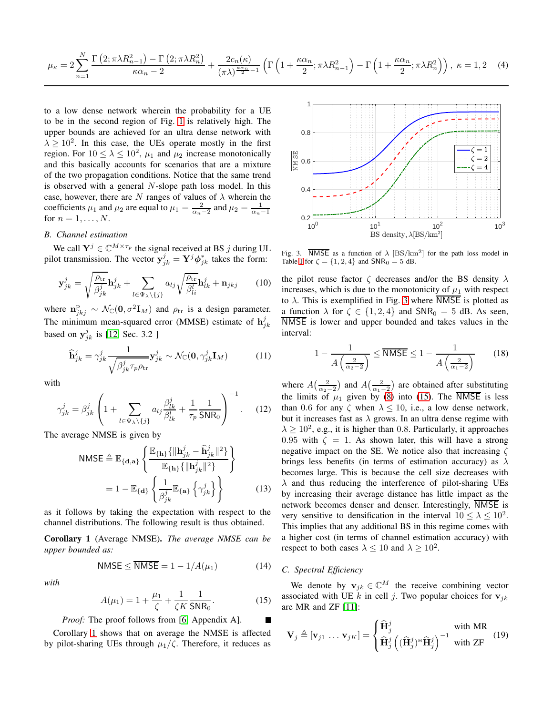<span id="page-2-0"></span>
$$
\mu_{\kappa} = 2\sum_{n=1}^{N} \frac{\Gamma\left(2; \pi\lambda R_{n-1}^2\right) - \Gamma\left(2; \pi\lambda R_{n}^2\right)}{\kappa \alpha_n - 2} + \frac{2c_n(\kappa)}{(\pi\lambda)^{\frac{\kappa \alpha_n}{2} - 1}} \left(\Gamma\left(1 + \frac{\kappa \alpha_n}{2}; \pi\lambda R_{n-1}^2\right) - \Gamma\left(1 + \frac{\kappa \alpha_n}{2}; \pi\lambda R_{n}^2\right)\right), \ \kappa = 1, 2 \quad (4)
$$

to a low dense network wherein the probability for a UE to be in the second region of Fig. [1](#page-1-1) is relatively high. The upper bounds are achieved for an ultra dense network with  $\lambda \geq 10^2$ . In this case, the UEs operate mostly in the first region. For  $10 \le \lambda \le 10^2$ ,  $\mu_1$  and  $\mu_2$  increase monotonically and this basically accounts for scenarios that are a mixture of the two propagation conditions. Notice that the same trend is observed with a general N-slope path loss model. In this case, however, there are N ranges of values of  $\lambda$  wherein the coefficients  $\mu_1$  and  $\mu_2$  are equal to  $\mu_1 = \frac{2}{\alpha_n - 2}$  and  $\mu_2 = \frac{1}{\alpha_n - 1}$ for  $n = 1, \ldots, N$ .

## *B. Channel estimation*

We call  $\mathbf{Y}^j \in \mathbb{C}^{M \times \tau_p}$  the signal received at BS j during UL pilot transmission. The vector  $y_{jk}^j = Y^j \phi_{jk}^*$  takes the form:

$$
\mathbf{y}_{jk}^j = \sqrt{\frac{\rho_{\text{tr}}}{\beta_{jk}^j}} \mathbf{h}_{jk}^j + \sum_{l \in \Psi_{\lambda} \setminus \{j\}} a_{lj} \sqrt{\frac{\rho_{\text{tr}}}{\beta_{li}^l}} \mathbf{h}_{lk}^j + \mathbf{n}_{jkj} \qquad (10)
$$

where  $\mathbf{n}_{jkj}^{\mathrm{p}} \sim \mathcal{N}_{\mathbb{C}}(\mathbf{0}, \sigma^2 \mathbf{I}_M)$  and  $\rho_{\mathrm{tr}}$  is a design parameter. The minimum mean-squared error (MMSE) estimate of  $h_{jk}^{j}$ based on  $y_{jk}^j$  is [\[12,](#page-4-11) Sec. 3.2 ]

$$
\widehat{\mathbf{h}}_{jk}^{j} = \gamma_{jk}^{j} \frac{1}{\sqrt{\beta_{jk}^{j} \tau_{p} \rho_{\text{tr}}}} \mathbf{y}_{jk}^{j} \sim \mathcal{N}_{\mathbb{C}}(\mathbf{0}, \gamma_{jk}^{j} \mathbf{I}_{M})
$$
(11)

with

$$
\gamma_{jk}^j = \beta_{jk}^j \left( 1 + \sum_{l \in \Psi_\lambda \setminus \{j\}} a_{lj} \frac{\beta_{lk}^j}{\beta_{lk}^l} + \frac{1}{\tau_p} \frac{1}{\mathsf{SNR}_0} \right)^{-1} . \tag{12}
$$

The average NMSE is given by

NMSE 
$$
\triangleq
$$
  $\mathbb{E}_{\{\mathbf{d},\mathbf{a}\}} \left\{ \frac{\mathbb{E}_{\{\mathbf{h}\}} \{ \|\mathbf{h}_{jk}^j - \hat{\mathbf{h}}_{jk}^j \|^2 \}}{\mathbb{E}_{\{\mathbf{h}\}} \{ \|\mathbf{h}_{jk}^j \|^2 \}} \right\}$   
=  $1 - \mathbb{E}_{\{\mathbf{d}\}} \left\{ \frac{1}{\beta_{jk}^j} \mathbb{E}_{\{\mathbf{a}\}} \left\{ \gamma_{jk}^j \right\} \right\}$  (13)

as it follows by taking the expectation with respect to the channel distributions. The following result is thus obtained.

<span id="page-2-1"></span>Corollary 1 (Average NMSE). *The average NMSE can be upper bounded as:*

$$
NMSE \leq \overline{NMSE} = 1 - 1/A(\mu_1) \tag{14}
$$

*with*

$$
A(\mu_1) = 1 + \frac{\mu_1}{\zeta} + \frac{1}{\zeta K} \frac{1}{\mathsf{SNR}_0}.
$$
 (15)

*Proof:* The proof follows from [\[6,](#page-4-5) Appendix A].

Corollary [1](#page-2-1) shows that on average the NMSE is affected by pilot-sharing UEs through  $\mu_1/\zeta$ . Therefore, it reduces as



<span id="page-2-2"></span>Fig. 3. **NMSE** as a function of  $\lambda$  [BS/km<sup>2</sup>] for the path loss model in Table [I](#page-1-0) for  $\zeta = \{1, 2, 4\}$  and  $\mathsf{SNR}_0 = 5$  dB.

the pilot reuse factor  $\zeta$  decreases and/or the BS density  $\lambda$ increases, which is due to the monotonicity of  $\mu_1$  with respect to  $\lambda$ . This is exemplified in Fig. [3](#page-2-2) where NMSE is plotted as a function  $\lambda$  for  $\zeta \in \{1, 2, 4\}$  and  $\text{SNR}_0 = 5$  dB. As seen, NMSE is lower and upper bounded and takes values in the interval:

$$
1 - \frac{1}{A\left(\frac{2}{\alpha_2 - 2}\right)} \le \overline{\text{NMSE}} \le 1 - \frac{1}{A\left(\frac{2}{\alpha_1 - 2}\right)}\tag{18}
$$

where  $A\left(\frac{2}{\alpha_2-2}\right)$  and  $A\left(\frac{2}{\alpha_1-2}\right)$  are obtained after substituting the limits of  $\mu_1$  given by [\(8\)](#page-1-4) into [\(15\)](#page-2-3). The NMSE is less than 0.6 for any  $\zeta$  when  $\lambda \le 10$ , i.e., a low dense network, but it increases fast as  $\lambda$  grows. In an ultra dense regime with  $\lambda \geq 10^2$ , e.g., it is higher than 0.8. Particularly, it approaches 0.95 with  $\zeta = 1$ . As shown later, this will have a strong negative impact on the SE. We notice also that increasing  $\zeta$ brings less benefits (in terms of estimation accuracy) as  $\lambda$ becomes large. This is because the cell size decreases with  $\lambda$  and thus reducing the interference of pilot-sharing UEs by increasing their average distance has little impact as the network becomes denser and denser. Interestingly, NMSE is very sensitive to densification in the interval  $10 \le \lambda \le 10^2$ . This implies that any additional BS in this regime comes with a higher cost (in terms of channel estimation accuracy) with respect to both cases  $\lambda \leq 10$  and  $\lambda \geq 10^2$ .

# *C. Spectral Efficiency*

<span id="page-2-3"></span>We denote by  $\mathbf{v}_{jk} \in \mathbb{C}^{M}$  the receive combining vector associated with UE k in cell j. Two popular choices for  $v_{jk}$ are MR and ZF [\[11\]](#page-4-10):

$$
\mathbf{V}_{j} \triangleq [\mathbf{v}_{j1} \dots \mathbf{v}_{jK}] = \begin{cases} \hat{\mathbf{H}}_{j}^{j} \\ \hat{\mathbf{H}}_{j}^{j} \left( (\hat{\mathbf{H}}_{j}^{j})^{\text{H}} \hat{\mathbf{H}}_{j}^{j} \right)^{-1} \text{ with } \text{I} \text{R} \\ \hat{\mathbf{H}}_{j}^{j} \left( (\hat{\mathbf{H}}_{j}^{j})^{\text{H}} \hat{\mathbf{H}}_{j}^{j} \right)^{-1} \text{ with } \text{ZF} \end{cases} (19)
$$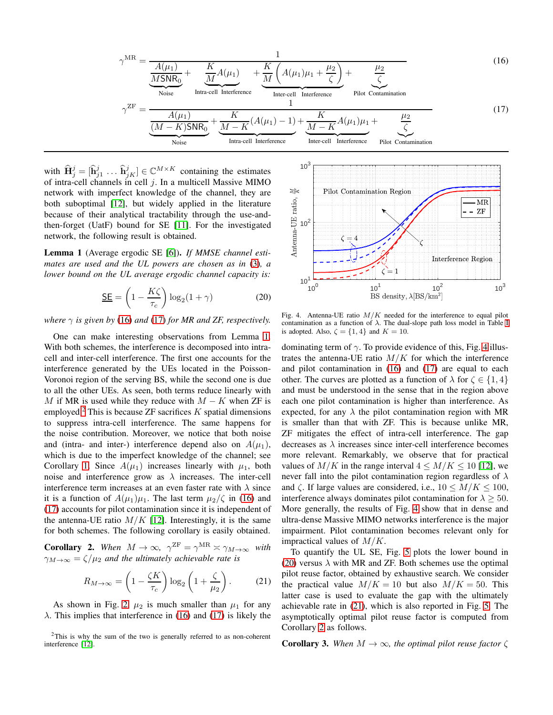$$
\gamma^{\text{MR}} = \frac{1}{\frac{A(\mu_1)}{\text{MSNR}_0} + \frac{K}{\frac{M}{M}}A(\mu_1)} + \frac{K}{\frac{M}{M}}\left(A(\mu_1)\mu_1 + \frac{\mu_2}{\zeta}\right) + \frac{\mu_2}{\zeta}}
$$
(16)  

$$
\gamma^{\text{ZF}} = \frac{A(\mu_1)}{\frac{(M-K)\text{SNR}_0}{\text{Noise}}} + \frac{K}{\frac{M-K}{M-K}}\left(A(\mu_1) - 1\right) + \frac{K}{\frac{M-K}{M-K}}A(\mu_1)\mu_1 + \frac{\mu_2}{\zeta}}
$$
(17)  
Notice  
Intra-cell Interference  
Interference  
Intercell Interference  
Intercell Interference

with  $\widehat{\mathbf{H}}_j^j = [\widehat{\mathbf{h}}_{j1}^j \dots \widehat{\mathbf{h}}_{jK}^j] \in \mathbb{C}^{M \times K}$  containing the estimates of intra-cell channels in cell  $j$ . In a multicell Massive MIMO network with imperfect knowledge of the channel, they are both suboptimal [\[12\]](#page-4-11), but widely applied in the literature because of their analytical tractability through the use-andthen-forget (UatF) bound for SE [\[11\]](#page-4-10). For the investigated network, the following result is obtained.

<span id="page-3-2"></span>Lemma 1 (Average ergodic SE [\[6\]](#page-4-5)). *If MMSE channel estimates are used and the UL powers are chosen as in* [\(3\)](#page-1-5)*, a lower bound on the UL average ergodic channel capacity is:*

$$
\underline{\mathsf{SE}} = \left(1 - \frac{K\zeta}{\tau_c}\right) \log_2(1+\gamma) \tag{20}
$$

*where*  $\gamma$  *is given by* [\(16\)](#page-3-0) *and* [\(17\)](#page-3-1) *for MR and ZF, respectively.* 

One can make interesting observations from Lemma [1.](#page-3-2) With both schemes, the interference is decomposed into intracell and inter-cell interference. The first one accounts for the interference generated by the UEs located in the Poisson-Voronoi region of the serving BS, while the second one is due to all the other UEs. As seen, both terms reduce linearly with M if MR is used while they reduce with  $M - K$  when ZF is employed.<sup>[2](#page-3-3)</sup> This is because ZF sacrifices  $K$  spatial dimensions to suppress intra-cell interference. The same happens for the noise contribution. Moreover, we notice that both noise and (intra- and inter-) interference depend also on  $A(\mu_1)$ , which is due to the imperfect knowledge of the channel; see Corollary [1.](#page-2-1) Since  $A(\mu_1)$  increases linearly with  $\mu_1$ , both noise and interference grow as  $\lambda$  increases. The inter-cell interference term increases at an even faster rate with  $\lambda$  since it is a function of  $A(\mu_1)\mu_1$ . The last term  $\mu_2/\zeta$  in [\(16\)](#page-3-0) and [\(17\)](#page-3-1) accounts for pilot contamination since it is independent of the antenna-UE ratio  $M/K$  [\[12\]](#page-4-11). Interestingly, it is the same for both schemes. The following corollary is easily obtained.

<span id="page-3-7"></span>**Corollary 2.** When  $M \to \infty$ ,  $\gamma^{\text{ZF}} = \gamma^{\text{MR}} \asymp \gamma_{M \to \infty}$  with  $\gamma_{M\to\infty} = \zeta/\mu_2$  *and the ultimately achievable rate is* 

$$
R_{M\to\infty} = \left(1 - \frac{\zeta K}{\tau_c}\right) \log_2\left(1 + \frac{\zeta}{\mu_2}\right). \tag{21}
$$

As shown in Fig. [2,](#page-1-3)  $\mu_2$  is much smaller than  $\mu_1$  for any  $\lambda$ . This implies that interference in [\(16\)](#page-3-0) and [\(17\)](#page-3-1) is likely the

<span id="page-3-1"></span><span id="page-3-0"></span>

<span id="page-3-5"></span><span id="page-3-4"></span>Fig. 4. Antenna-UE ratio  $M/K$  needed for the interference to equal pilot contamination as a function of  $\lambda$ . The dual-slope path loss model in Table [I](#page-1-0) is adopted. Also,  $\zeta = \{1, 4\}$  and  $K = 10$ .

dominating term of  $\gamma$ . To provide evidence of this, Fig. [4](#page-3-4) illustrates the antenna-UE ratio  $M/K$  for which the interference and pilot contamination in [\(16\)](#page-3-0) and [\(17\)](#page-3-1) are equal to each other. The curves are plotted as a function of  $\lambda$  for  $\zeta \in \{1, 4\}$ and must be understood in the sense that in the region above each one pilot contamination is higher than interference. As expected, for any  $\lambda$  the pilot contamination region with MR is smaller than that with ZF. This is because unlike MR, ZF mitigates the effect of intra-cell interference. The gap decreases as  $\lambda$  increases since inter-cell interference becomes more relevant. Remarkably, we observe that for practical values of  $M/K$  in the range interval  $4 \leq M/K \leq 10$  [\[12\]](#page-4-11), we never fall into the pilot contamination region regardless of  $\lambda$ and  $\zeta$ . If large values are considered, i.e.,  $10 \leq M/K \leq 100$ , interference always dominates pilot contamination for  $\lambda \geq 50$ . More generally, the results of Fig. [4](#page-3-4) show that in dense and ultra-dense Massive MIMO networks interference is the major impairment. Pilot contamination becomes relevant only for impractical values of  $M/K$ .

<span id="page-3-6"></span>To quantify the UL SE, Fig. [5](#page-4-17) plots the lower bound in [\(20\)](#page-3-5) versus  $\lambda$  with MR and ZF. Both schemes use the optimal pilot reuse factor, obtained by exhaustive search. We consider the practical value  $M/K = 10$  but also  $M/K = 50$ . This latter case is used to evaluate the gap with the ultimately achievable rate in [\(21\)](#page-3-6), which is also reported in Fig. [5.](#page-4-17) The asymptotically optimal pilot reuse factor is computed from Corollary [2](#page-3-7) as follows.

**Corollary 3.** *When*  $M \to \infty$ *, the optimal pilot reuse factor*  $\zeta$ 

<span id="page-3-3"></span> $2$ This is why the sum of the two is generally referred to as non-coherent interference [\[12\]](#page-4-11).